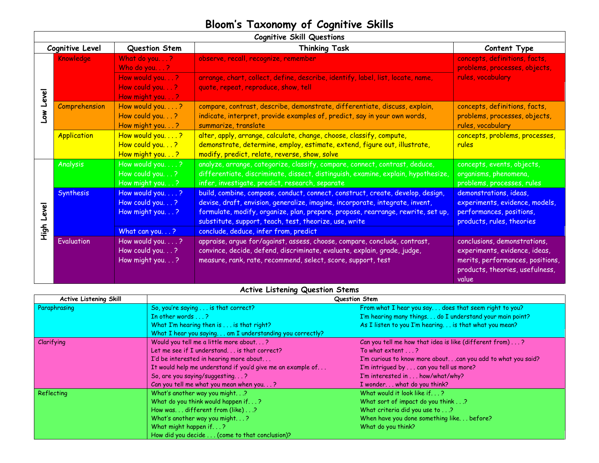## **Bloom's Taxonomy of Cognitive Skills**

г

| <b>Cognitive Skill Questions</b> |                    |                                                                                   |                                                                                                                                                                                                                                                                                                                                                        |                                                                                                                                               |  |  |
|----------------------------------|--------------------|-----------------------------------------------------------------------------------|--------------------------------------------------------------------------------------------------------------------------------------------------------------------------------------------------------------------------------------------------------------------------------------------------------------------------------------------------------|-----------------------------------------------------------------------------------------------------------------------------------------------|--|--|
| Cognitive Level                  |                    | Question Stem                                                                     | <b>Thinking Task</b>                                                                                                                                                                                                                                                                                                                                   | Content Type                                                                                                                                  |  |  |
| Level<br><b>Nor</b>              | Knowledge          | What do you?<br>Who do you?<br>How would you?<br>How could you?<br>How might you? | observe, recall, recognize, remember<br>arrange, chart, collect, define, describe, identify, label, list, locate, name,<br>quote, repeat, reproduce, show, tell                                                                                                                                                                                        | concepts, definitions, facts,<br>problems, processes, objects,<br>rules, vocabulary                                                           |  |  |
|                                  | Comprehension      | How would you?<br>How could you. ?<br>How might you. ?                            | compare, contrast, describe, demonstrate, differentiate, discuss, explain,<br>indicate, interpret, provide examples of, predict, say in your own words,<br>summarize, translate                                                                                                                                                                        | concepts, definitions, facts,<br>problems, processes, objects,<br>rules, vocabulary                                                           |  |  |
|                                  | <b>Application</b> | How would you?<br>How could you. ?<br>How might you?                              | alter, apply, arrange, calculate, change, choose, classify, compute,<br>demonstrate, determine, employ, estimate, extend, figure out, illustrate,<br>modify, predict, relate, reverse, show, solve                                                                                                                                                     | concepts, problems, processes,<br>rules                                                                                                       |  |  |
| Level<br>High                    | Analysis           | How would you. ?<br>How could you. ?<br>How might you?                            | analyze, arrange, categorize, classify, compare, connect, contrast, deduce,<br>differentiate, discriminate, dissect, distinguish, examine, explain, hypothesize,<br>infer, investigate, predict, research, separate                                                                                                                                    | concepts, events, objects,<br>organisms, phenomena,<br>problems, processes, rules                                                             |  |  |
|                                  | Synthesis          | How would you?<br>How could you. ?<br>How might you?<br>What can you?             | build, combine, compose, conduct, connect, construct, create, develop, design,<br>devise, draft, envision, generalize, imagine, incorporate, integrate, invent,<br>formulate, modify, organize, plan, prepare, propose, rearrange, rewrite, set up,<br>substitute, support, teach, test, theorize, use, write<br>conclude, deduce, infer from, predict | demonstrations, ideas,<br>experiments, evidence, models,<br>performances, positions,<br>products, rules, theories                             |  |  |
|                                  | Evaluation         | How would you. ?<br>How could you. ?<br>How might you. ?                          | appraise, argue for/against, assess, choose, compare, conclude, contrast,<br>convince, decide, defend, discriminate, evaluate, explain, grade, judge,<br>measure, rank, rate, recommend, select, score, support, test                                                                                                                                  | conclusions, demonstrations,<br>experiments, evidence, ideas,<br>merits, performances, positions,<br>products, theories, usefulness,<br>value |  |  |

## **Active Listening Question Stems**

| <b>Active Listening Skill</b> | Question Stem                                              |                                                               |  |
|-------------------------------|------------------------------------------------------------|---------------------------------------------------------------|--|
| Paraphrasing                  | So, you're saying is that correct?                         | From what I hear you say. does that seem right to you?        |  |
|                               | In other words $\ldots$ ?                                  | I'm hearing many things do I understand your main point?      |  |
|                               | What I'm hearing then is is that right?                    | As I listen to you I'm hearing. is that what you mean?        |  |
|                               | What I hear you saying am I understanding you correctly?   |                                                               |  |
| Clarifying                    | Would you tell me a little more about?                     | Can you tell me how that idea is like (different from)?       |  |
|                               | Let me see if $I$ understand, , , is that correct?         | To what extent $\ldots$ ?                                     |  |
|                               | I'd be interested in hearing more about                    | I'm curious to know more about. can you add to what you said? |  |
|                               | It would help me understand if you'd give me an example of | I'm intrigued by can you tell us more?                        |  |
|                               | So, are you saying/suggesting?                             | I'm interested in how/what/why?                               |  |
|                               | Can you tell me what you mean when you?                    | I wonder what do you think?                                   |  |
| Reflecting                    | What's another way you might.?                             | What would it look like if?                                   |  |
|                               | What do you think would happen if?                         | What sort of impact do you think?                             |  |
|                               | How was different from (like)?                             | What criteria did you use to?                                 |  |
|                               | What's another way you might?                              | When have you done something like before?                     |  |
|                               | What might happen if?                                      | What do you think?                                            |  |
|                               | How did you decide (come to that conclusion)?              |                                                               |  |